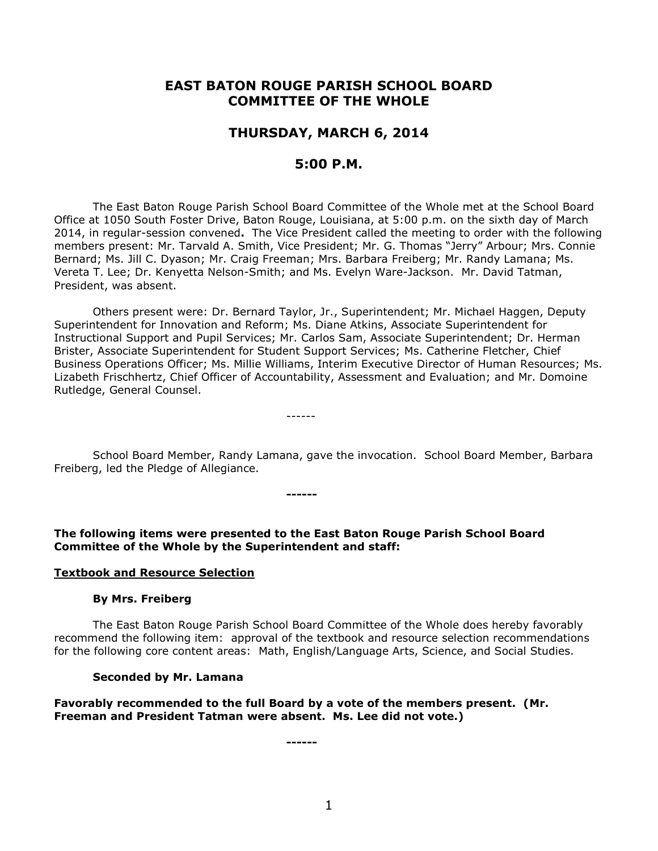# **EAST BATON ROUGE PARISH SCHOOL BOARD COMMITTEE OF THE WHOLE**

# **THURSDAY, MARCH 6, 2014**

# **5:00 P.M.**

The East Baton Rouge Parish School Board Committee of the Whole met at the School Board Office at 1050 South Foster Drive, Baton Rouge, Louisiana, at 5:00 p.m. on the sixth day of March 2014, in regular-session convened**.** The Vice President called the meeting to order with the following members present: Mr. Tarvald A. Smith, Vice President; Mr. G. Thomas "Jerry" Arbour; Mrs. Connie Bernard; Ms. Jill C. Dyason; Mr. Craig Freeman; Mrs. Barbara Freiberg; Mr. Randy Lamana; Ms. Vereta T. Lee; Dr. Kenyetta Nelson-Smith; and Ms. Evelyn Ware-Jackson. Mr. David Tatman, President, was absent.

Others present were: Dr. Bernard Taylor, Jr., Superintendent; Mr. Michael Haggen, Deputy Superintendent for Innovation and Reform; Ms. Diane Atkins, Associate Superintendent for Instructional Support and Pupil Services; Mr. Carlos Sam, Associate Superintendent; Dr. Herman Brister, Associate Superintendent for Student Support Services; Ms. Catherine Fletcher, Chief Business Operations Officer; Ms. Millie Williams, Interim Executive Director of Human Resources; Ms. Lizabeth Frischhertz, Chief Officer of Accountability, Assessment and Evaluation; and Mr. Domoine Rutledge, General Counsel.

School Board Member, Randy Lamana, gave the invocation. School Board Member, Barbara Freiberg, led the Pledge of Allegiance.

**The following items were presented to the East Baton Rouge Parish School Board Committee of the Whole by the Superintendent and staff:**

**------**

------

#### **Textbook and Resource Selection**

#### **By Mrs. Freiberg**

The East Baton Rouge Parish School Board Committee of the Whole does hereby favorably recommend the following item: approval of the textbook and resource selection recommendations for the following core content areas: Math, English/Language Arts, Science, and Social Studies.

#### **Seconded by Mr. Lamana**

**Favorably recommended to the full Board by a vote of the members present. (Mr. Freeman and President Tatman were absent. Ms. Lee did not vote.)**

**------**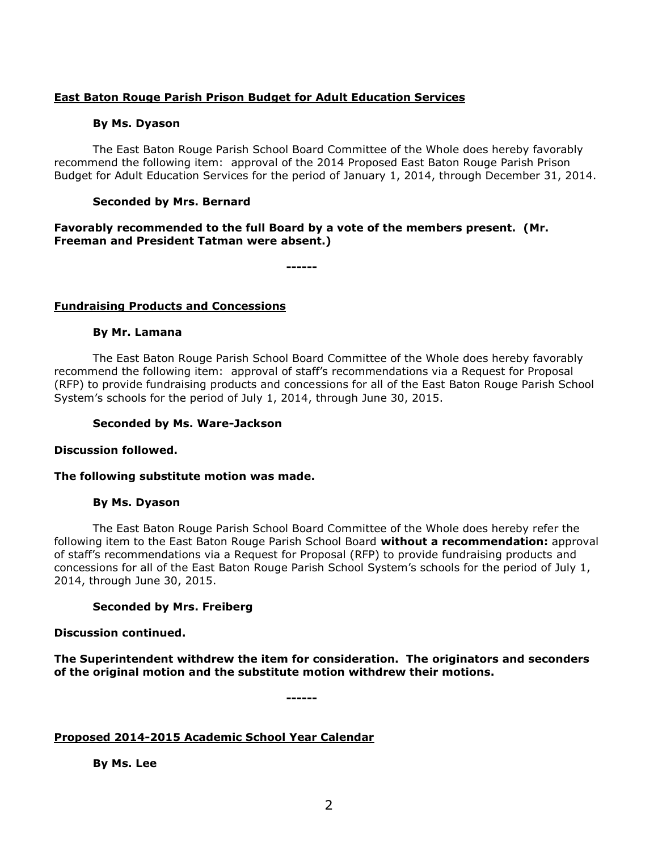# **East Baton Rouge Parish Prison Budget for Adult Education Services**

### **By Ms. Dyason**

The East Baton Rouge Parish School Board Committee of the Whole does hereby favorably recommend the following item: approval of the 2014 Proposed East Baton Rouge Parish Prison Budget for Adult Education Services for the period of January 1, 2014, through December 31, 2014.

# **Seconded by Mrs. Bernard**

## **Favorably recommended to the full Board by a vote of the members present. (Mr. Freeman and President Tatman were absent.)**

**------**

# **Fundraising Products and Concessions**

### **By Mr. Lamana**

The East Baton Rouge Parish School Board Committee of the Whole does hereby favorably recommend the following item: approval of staff's recommendations via a Request for Proposal (RFP) to provide fundraising products and concessions for all of the East Baton Rouge Parish School System's schools for the period of July 1, 2014, through June 30, 2015.

### **Seconded by Ms. Ware-Jackson**

### **Discussion followed.**

### **The following substitute motion was made.**

### **By Ms. Dyason**

The East Baton Rouge Parish School Board Committee of the Whole does hereby refer the following item to the East Baton Rouge Parish School Board **without a recommendation:** approval of staff's recommendations via a Request for Proposal (RFP) to provide fundraising products and concessions for all of the East Baton Rouge Parish School System's schools for the period of July 1, 2014, through June 30, 2015.

### **Seconded by Mrs. Freiberg**

### **Discussion continued.**

**The Superintendent withdrew the item for consideration. The originators and seconders of the original motion and the substitute motion withdrew their motions.**

**------**

### **Proposed 2014-2015 Academic School Year Calendar**

**By Ms. Lee**